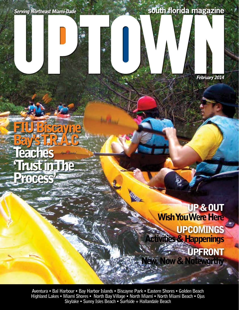### south florida magazine



# FIU Biscayne Bay's T.R.A.C **Teaches Trust in The** Proces

Wish You Were Here **Activities & Happenings** w, Now & Noteworthy, UP & OUT UPCOMINGS **WESTERDAT** 

Aventura • Bal Harbour • Bay Harbor Islands • Biscayne Park • Eastern Shores • Golden Beach Highland Lakes • Miami Shores • North Bay Village • North Miami • North Miami Beach • Ojus Skylake • Sunny Isles Beach • Surfside + Hallandale Beach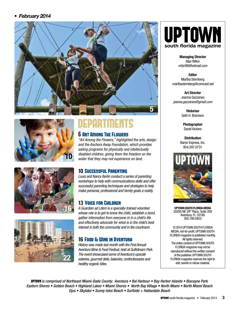#### • February 2014









## **DEPARTMENTS**

#### 6 Art Among The Flowers

"Art Among the Flowers," highlighted the arts, design and the Anchors Away Foundation, which provides sailing programs for physically and intellectually disabled children, giving them the freedom on the water that they may not experience on land.

#### 10 Successful Parenting

Louis and Nancy Berlin conduct a series of parenting workshops to help with communications skills and offer successful parenting techniques and strategies to help make personal, professional and family goals a reality.

#### 13 Voice for Children

A Guardian ad Litem is a specially-trained volunteer whose role is to get to know the child, establish a bond, gather information from everyone in in a child's life and effectively advocate for what is in the child's best interest in both the community and in the courtroom.

#### 16 Food & Wine in Aventura

History was made last month with the First Annual Aventura Wine & Food Festival, held at Gulfstream Park. The event showcased some of Aventura's upscale eateries, gourmet delis, bakeries, confectionaries and healthy organic bites.



Managing Director Alan Rifkin mfar99@hotmail.com

Editor Martha Sternberg marthasternberg@comcast.net

Art Director Joanna Gazzaneo joanna.gazzaneo@gmail.com

> **Historian** Seth H. Bramson

Photographer David Vickers

**Distribution** Baron Express, Inc. 954.297.0731



UPTOWN SOUTH FLORIDA MEDIA 20295 NE 29th Place, Suite 200 Aventura, FL 33180 305.788.0823

© 2014 UPTOWN SOUTH FLORIDA MEDIA, not-for-profit. UPTOWN SOUTH FLORIDA magazine is published monthly. All rights reserved. The entire content of UPTOWN SOUTH FLORIDA magazine may not be reproduced without the written consent of the publisher. UPTOWN SOUTH FLORIDA magazine reserves the right to edit, rewrite or refuse material.

**UPTOWN** is comprised of Northeast Miami-Dade County: Aventura  $\bullet$  Bal Harbour  $\bullet$  Bay Harbor Islands  $\bullet$  Biscayne Park Eastern Shores • Golden Beach • Highland Lakes • Miami Shores • North Bay Village • North Miami • North Miami Beach Ojus • Skylake • Sunny Isles Beach • Surfside + Hallandale Beach